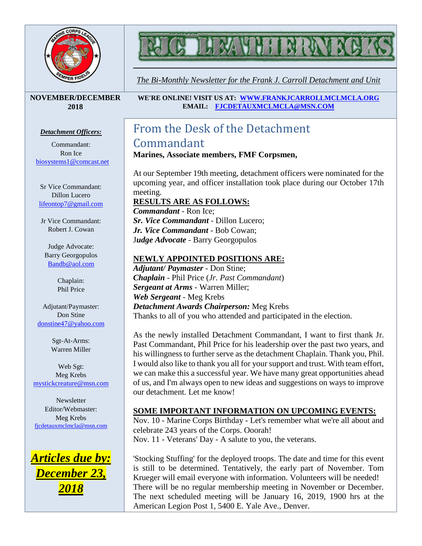

*The Bi-Monthly Newsletter for the Frank J. Carroll Detachment and Unit*

#### **NOVEMBER/DECEMBER 2018**

#### *Detachment Officers:*

Commandant: Ron Ice [biosystems1@comcast.net](mailto:biosystems1@comcast.net)

Sr Vice Commandant: Dillon Lucero [lifeontop7@gmail.com](mailto:lifeontop7@gmail.com)

Jr Vice Commandant: Robert J. Cowan

Judge Advocate: Barry Georgopulos [Bandb@aol.com](mailto:Bandb@aol.com)

> Chaplain: Phil Price

Adjutant/Paymaster: Don Stine [donstine47@yahoo.com](mailto:donstine47@yahoo.com)

> Sgt-At-Arms: Warren Miller

Web Sgt: Meg Krebs [mystickcreature@msn.com](mailto:mystickcreature@msn.com)

**Newsletter** Editor/Webmaster: Meg Krebs [fjcdetauxmclmcla@msn.com](mailto:fjcdetauxmclmcla@msn.com)



**WE'RE ONLINE! VISIT US AT: [WWW.FRANKJCARROLLMCLMCLA.ORG](http://www.frankjcarrollmclmcla.org/) EMAIL: [FJCDETAUXMCLMCLA@MSN.COM](mailto:fjcdetauxmclmcla@msn.com)** 

## From the Desk of the Detachment Commandant

#### **Marines, Associate members, FMF Corpsmen,**

At our September 19th meeting, detachment officers were nominated for the upcoming year, and officer installation took place during our October 17th meeting.

#### **RESULTS ARE AS FOLLOWS:**

*Commandant* - Ron Ice; *Sr. Vice Commandant* - Dillon Lucero; *Jr. Vice Commandant* - Bob Cowan; J*udge Advocate* - Barry Georgopulos

#### **NEWLY APPOINTED POSITIONS ARE:**

*Adjutant/ Paymaster* - Don Stine; *Chaplain* - Phil Price (*Jr. Past Commandant*) *Sergeant at Arms* - Warren Miller; *Web Sergeant* - Meg Krebs *Detachment Awards Chairperson:* Meg Krebs Thanks to all of you who attended and participated in the election.

As the newly installed Detachment Commandant, I want to first thank Jr. Past Commandant, Phil Price for his leadership over the past two years, and his willingness to further serve as the detachment Chaplain. Thank you, Phil. I would also like to thank you all for your support and trust. With team effort, we can make this a successful year. We have many great opportunities ahead of us, and I'm always open to new ideas and suggestions on ways to improve our detachment. Let me know!

#### **SOME IMPORTANT INFORMATION ON UPCOMING EVENTS:**

Nov. 10 - Marine Corps Birthday - Let's remember what we're all about and celebrate 243 years of the Corps. Ooorah! Nov. 11 - Veterans' Day - A salute to you, the veterans.

'Stocking Stuffing' for the deployed troops. The date and time for this event is still to be determined. Tentatively, the early part of November. Tom Krueger will email everyone with information. Volunteers will be needed! There will be no regular membership meeting in November or December. The next scheduled meeting will be January 16, 2019, 1900 hrs at the American Legion Post 1, 5400 E. Yale Ave., Denver.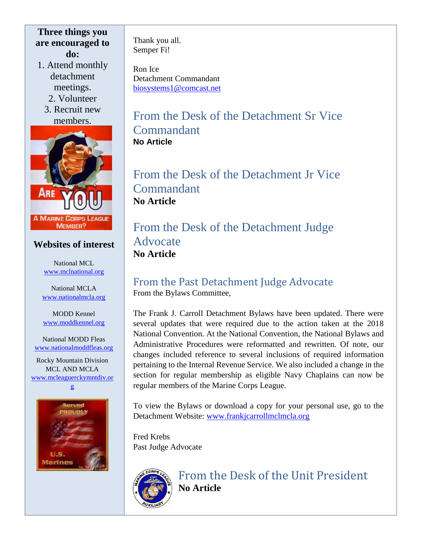#### **Three things you are encouraged to do:**

1. Attend monthly detachment meetings.

2. Volunteer

3. Recruit new members.



#### **Websites of interest**

National MCL [www.mclnational.org](http://www.mclnational.org/)

National MCLA [www.nationalmcla.org](http://www.nationalmcla.org/)

MODD Kennel [www.moddkennel.org](http://www.moddkennel.org/)

National MODD Fleas [www.nationalmoddfleas.org](http://www.nationalmoddfleas.org/)

Rocky Mountain Division MCL AND MCLA [www.mcleaguerckymntdiv.or](http://www.mcleaguerckymntdiv.org/) [g](http://www.mcleaguerckymntdiv.org/)



Thank you all. Semper Fi!

Ron Ice Detachment Commandant [biosystems1@comcast.net](mailto:biosystems1@comcast.net)

#### From the Desk of the Detachment Sr Vice Commandant **No Article**

From the Desk of the Detachment Jr Vice Commandant **No Article**

From the Desk of the Detachment Judge Advocate **No Article**

#### From the Past Detachment Judge Advocate From the Bylaws Committee,

The Frank J. Carroll Detachment Bylaws have been updated. There were several updates that were required due to the action taken at the 2018 National Convention. At the National Convention, the National Bylaws and Administrative Procedures were reformatted and rewritten. Of note, our changes included reference to several inclusions of required information pertaining to the Internal Revenue Service. We also included a change in the section for regular membership as eligible Navy Chaplains can now be regular members of the Marine Corps League.

To view the Bylaws or download a copy for your personal use, go to the Detachment Website: [www.frankjcarrollmclmcla.org](http://www.frankjcarrollmclmcla.org/)

Fred Krebs Past Judge Advocate



From the Desk of the Unit President **No Article**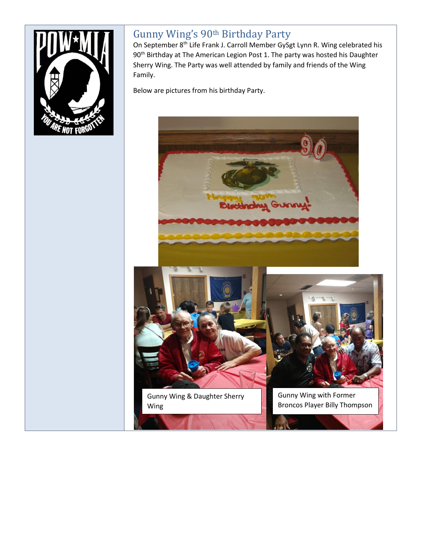

### Gunny Wing's 90<sup>th</sup> Birthday Party

On September 8<sup>th</sup> Life Frank J. Carroll Member GySgt Lynn R. Wing celebrated his 90<sup>th</sup> Birthday at The American Legion Post 1. The party was hosted his Daughter Sherry Wing. The Party was well attended by family and friends of the Wing Family.

Below are pictures from his birthday Party.





Gunny Wing & Daughter Sherry Wing



Gunny Wing with Former Broncos Player Billy Thompson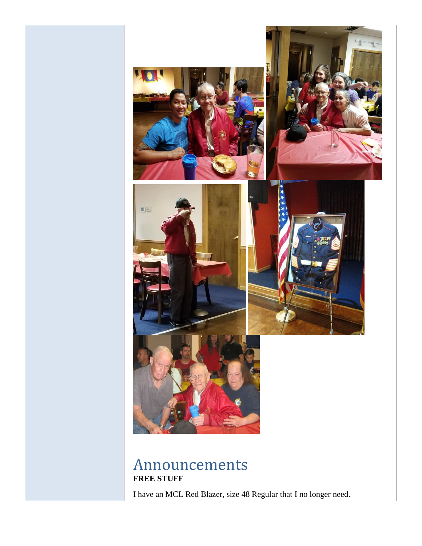

I have an MCL Red Blazer, size 48 Regular that I no longer need.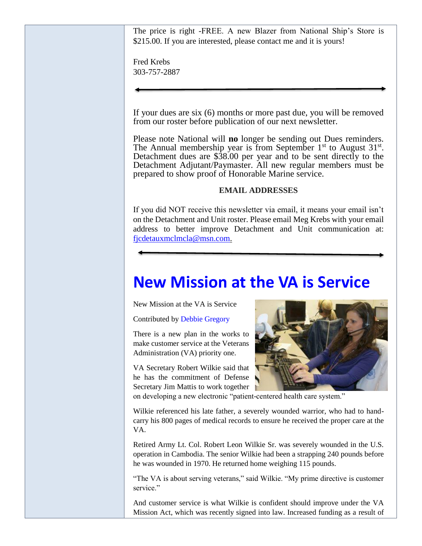The price is right -FREE. A new Blazer from National Ship's Store is \$215.00. If you are interested, please contact me and it is yours!

Fred Krebs 303-757-2887

If your dues are six (6) months or more past due, you will be removed from our roster before publication of our next newsletter.

Please note National will **no** longer be sending out Dues reminders. The Annual membership year is from September  $1<sup>st</sup>$  to August  $31<sup>st</sup>$ . Detachment dues are \$38.00 per year and to be sent directly to the Detachment Adjutant/Paymaster. All new regular members must be prepared to show proof of Honorable Marine service.

#### **EMAIL ADDRESSES**

If you did NOT receive this newsletter via email, it means your email isn't on the Detachment and Unit roster. Please email Meg Krebs with your email address to better improve Detachment and Unit communication at: [fjcdetauxmclmcla@msn.com.](mailto:fjcdetauxmclmcla@msn.com)

# **[New Mission at the VA is Service](https://militaryconnection.com/blog/new-mission-va-service/)**

New Mission at the VA is Service

Contributed by [Debbie Gregory](https://twitter.com/vamboa)

There is a new plan in the works to make customer service at the Veterans Administration (VA) priority one.

VA Secretary Robert Wilkie said that he has the commitment of Defense Secretary Jim Mattis to work together



on developing a new electronic "patient-centered health care system."

Wilkie referenced his late father, a severely wounded warrior, who had to handcarry his 800 pages of medical records to ensure he received the proper care at the VA.

Retired Army Lt. Col. Robert Leon Wilkie Sr. was severely wounded in the U.S. operation in Cambodia. The senior Wilkie had been a strapping 240 pounds before he was wounded in 1970. He returned home weighing 115 pounds.

"The VA is about serving veterans," said Wilkie. "My prime directive is customer service."

And customer service is what Wilkie is confident should improve under the VA Mission Act, which was recently signed into law. Increased funding as a result of